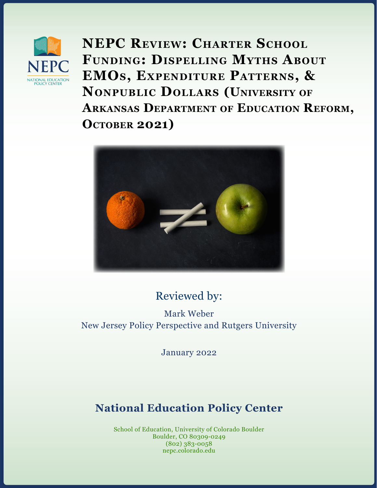

**NEPC Review: Charter School Funding: Dispelling Myths About EMOs, Expenditure Patterns, & Nonpublic Dollars (University of Arkansas Department of Education Reform, October 2021)**



# Reviewed by:

Mark Weber New Jersey Policy Perspective and Rutgers University

January 2022

# **National Education Policy Center**

School of Education, University of Colorado Boulder Boulder, CO 80309-0249 (802) 383-0058 nepc.colorado.edu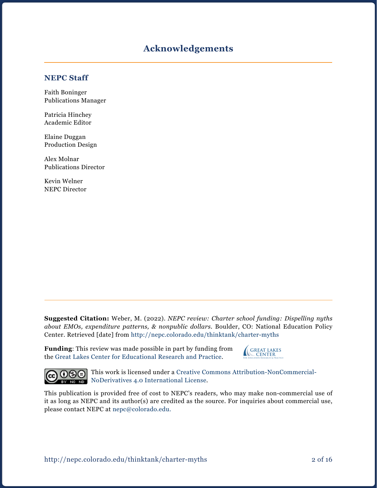## **Acknowledgements**

#### **NEPC Staff**

Faith Boninger Publications Manager

Patricia Hinchey Academic Editor

Elaine Duggan Production Design

Alex Molnar Publications Director

Kevin Welner NEPC Director

**Suggested Citation:** Weber, M. (2022). *NEPC review: Charter school funding: Dispelling nyths about EMOs, expenditure patterns, & nonpublic dollars*. Boulder, CO: National Education Policy Center. Retrieved [date] from <http://nepc.colorado.edu/thinktank/charter-myths>

**Funding**: This review was made possible in part by funding from the [Great Lakes Center for Educational Research and Practice](http://www.greatlakescenter.org).

**GREAT LAKES CENTER** For Education Research & Practice



This work is licensed under a [Creative Commons Attribution-NonCommercial-](https://creativecommons.org/licenses/by-nc-nd/4.0/)BY NODerivatives 4.0 International License.

This publication is provided free of cost to NEPC's readers, who may make non-commercial use of it as long as NEPC and its author(s) are credited as the source. For inquiries about commercial use, please contact NEPC at [nepc@colorado.edu](mailto:nepc%40colorado.edu?subject=).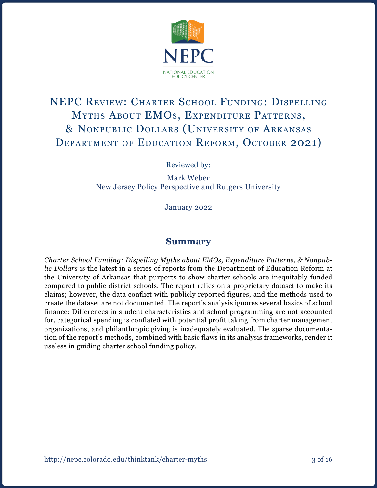

# NEPC Review: Charter School Funding: Dispelling Myths About EMOs, Expenditure Patterns, & Nonpublic Dollars (University of Arkansas DEPARTMENT OF EDUCATION REFORM, OCTOBER 2021)

Reviewed by:

Mark Weber New Jersey Policy Perspective and Rutgers University

January 2022

### **Summary**

*Charter School Funding: Dispelling Myths about EMOs, Expenditure Patterns, & Nonpublic Dollars* is the latest in a series of reports from the Department of Education Reform at the University of Arkansas that purports to show charter schools are inequitably funded compared to public district schools. The report relies on a proprietary dataset to make its claims; however, the data conflict with publicly reported figures, and the methods used to create the dataset are not documented. The report's analysis ignores several basics of school finance: Differences in student characteristics and school programming are not accounted for, categorical spending is conflated with potential profit taking from charter management organizations, and philanthropic giving is inadequately evaluated. The sparse documentation of the report's methods, combined with basic flaws in its analysis frameworks, render it useless in guiding charter school funding policy.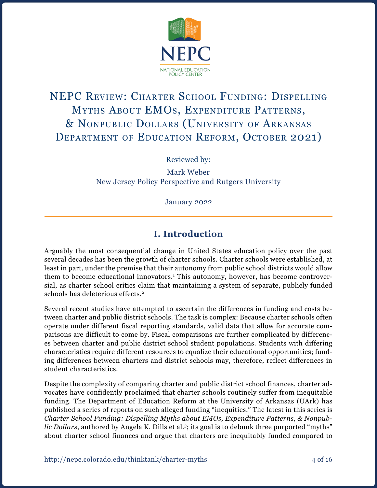

# NEPC Review: Charter School Funding: Dispelling Myths About EMOs, Expenditure Patterns, & Nonpublic Dollars (University of Arkansas Department of Education Reform, October 2021)

Reviewed by:

Mark Weber New Jersey Policy Perspective and Rutgers University

January 2022

# **I. Introduction**

Arguably the most consequential change in United States education policy over the past several decades has been the growth of charter schools. Charter schools were established, at least in part, under the premise that their autonomy from public school districts would allow them to become educational innovators.<sup>1</sup> This autonomy, however, has become controversial, as charter school critics claim that maintaining a system of separate, publicly funded schools has deleterious effects.<sup>2</sup>

Several recent studies have attempted to ascertain the differences in funding and costs between charter and public district schools. The task is complex: Because charter schools often operate under different fiscal reporting standards, valid data that allow for accurate comparisons are difficult to come by. Fiscal comparisons are further complicated by differences between charter and public district school student populations. Students with differing characteristics require different resources to equalize their educational opportunities; funding differences between charters and district schools may, therefore, reflect differences in student characteristics.

Despite the complexity of comparing charter and public district school finances, charter advocates have confidently proclaimed that charter schools routinely suffer from inequitable funding. The Department of Education Reform at the University of Arkansas (UArk) has published a series of reports on such alleged funding "inequities." The latest in this series is *Charter School Funding: Dispelling Myths about EMOs, Expenditure Patterns, & Nonpublic Dollars*, authored by Angela K. Dills et al.*<sup>3</sup>*; its goal is to debunk three purported "myths" about charter school finances and argue that charters are inequitably funded compared to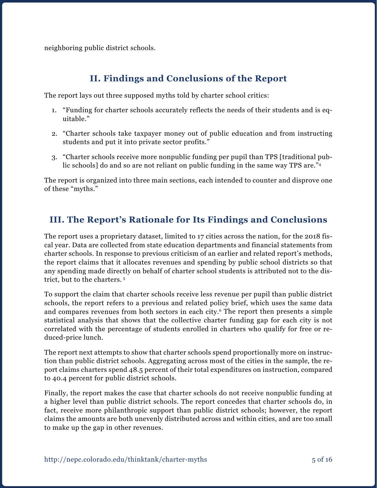neighboring public district schools.

# **II. Findings and Conclusions of the Report**

The report lays out three supposed myths told by charter school critics:

- 1. "Funding for charter schools accurately reflects the needs of their students and is equitable."
- 2. "Charter schools take taxpayer money out of public education and from instructing students and put it into private sector profits."
- 3. "Charter schools receive more nonpublic funding per pupil than TPS [traditional public schools] do and so are not reliant on public funding in the same way TPS are."4

The report is organized into three main sections, each intended to counter and disprove one of these "myths."

## **III. The Report's Rationale for Its Findings and Conclusions**

The report uses a proprietary dataset, limited to 17 cities across the nation, for the 2018 fiscal year. Data are collected from state education departments and financial statements from charter schools. In response to previous criticism of an earlier and related report's methods, the report claims that it allocates revenues and spending by public school districts so that any spending made directly on behalf of charter school students is attributed not to the district, but to the charters. 5

To support the claim that charter schools receive less revenue per pupil than public district schools, the report refers to a previous and related policy brief, which uses the same data and compares revenues from both sectors in each city.<sup>6</sup> The report then presents a simple statistical analysis that shows that the collective charter funding gap for each city is not correlated with the percentage of students enrolled in charters who qualify for free or reduced-price lunch.

The report next attempts to show that charter schools spend proportionally more on instruction than public district schools. Aggregating across most of the cities in the sample, the report claims charters spend 48.5 percent of their total expenditures on instruction, compared to 40.4 percent for public district schools.

Finally, the report makes the case that charter schools do not receive nonpublic funding at a higher level than public district schools. The report concedes that charter schools do, in fact, receive more philanthropic support than public district schools; however, the report claims the amounts are both unevenly distributed across and within cities, and are too small to make up the gap in other revenues.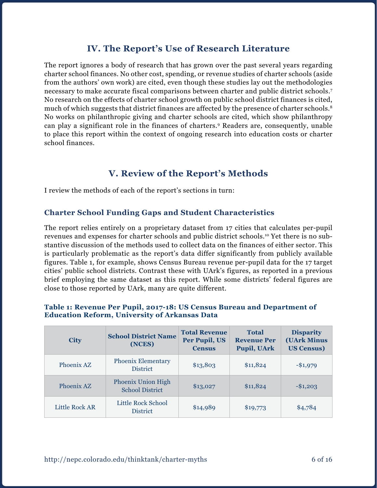## **IV. The Report's Use of Research Literature**

The report ignores a body of research that has grown over the past several years regarding charter school finances. No other cost, spending, or revenue studies of charter schools (aside from the authors' own work) are cited, even though these studies lay out the methodologies necessary to make accurate fiscal comparisons between charter and public district schools.7 No research on the effects of charter school growth on public school district finances is cited, much of which suggests that district finances are affected by the presence of charter schools.<sup>8</sup> No works on philanthropic giving and charter schools are cited, which show philanthropy can play a significant role in the finances of charters.9 Readers are, consequently, unable to place this report within the context of ongoing research into education costs or charter school finances.

## **V. Review of the Report's Methods**

I review the methods of each of the report's sections in turn:

### **Charter School Funding Gaps and Student Characteristics**

The report relies entirely on a proprietary dataset from 17 cities that calculates per-pupil revenues and expenses for charter schools and public district schools.10 Yet there is no substantive discussion of the methods used to collect data on the finances of either sector. This is particularly problematic as the report's data differ significantly from publicly available figures. Table 1, for example, shows Census Bureau revenue per-pupil data for the 17 target cities' public school districts. Contrast these with UArk's figures, as reported in a previous brief employing the same dataset as this report. While some districts' federal figures are close to those reported by UArk, many are quite different.

| <b>City</b>    | <b>School District Name</b><br>(NCES)               | <b>Total Revenue</b><br>Per Pupil, US<br><b>Census</b> | <b>Total</b><br><b>Revenue Per</b><br>Pupil, UArk | <b>Disparity</b><br><b>(UArk Minus</b><br><b>US Census)</b> |
|----------------|-----------------------------------------------------|--------------------------------------------------------|---------------------------------------------------|-------------------------------------------------------------|
| Phoenix AZ     | <b>Phoenix Elementary</b><br><b>District</b>        | \$13,803                                               | \$11,824                                          | $-$1,979$                                                   |
| Phoenix AZ     | <b>Phoenix Union High</b><br><b>School District</b> | \$13,027                                               | \$11,824                                          | $-$ \$1,203                                                 |
| Little Rock AR | Little Rock School<br><b>District</b>               | \$14,989                                               | \$19,773                                          | \$4,784                                                     |

#### **Table 1: Revenue Per Pupil, 2017-18: US Census Bureau and Department of Education Reform, University of Arkansas Data**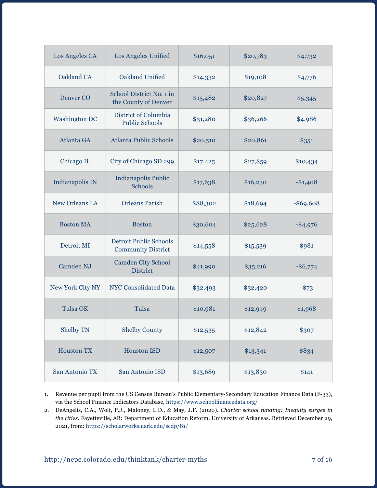| Los Angeles CA        | Los Angeles Unified                                        | \$16,051 | \$20,783 | \$4,732      |
|-----------------------|------------------------------------------------------------|----------|----------|--------------|
| Oakland CA            | Oakland Unified                                            | \$14,332 | \$19,108 | \$4,776      |
| Denver CO             | School District No. 1 in<br>the County of Denver           | \$15,482 | \$20,827 | \$5,345      |
| <b>Washington DC</b>  | District of Columbia<br><b>Public Schools</b>              | \$31,280 | \$36,266 | \$4,986      |
| Atlanta GA            | <b>Atlanta Public Schools</b>                              | \$20,510 | \$20,861 | \$351        |
| Chicago IL            | City of Chicago SD 299                                     | \$17,425 | \$27,859 | \$10,434     |
| Indianapolis IN       | <b>Indianapolis Public</b><br><b>Schools</b>               | \$17,638 | \$16,230 | $-$ \$1,408  |
| <b>New Orleans LA</b> | <b>Orleans Parish</b>                                      | \$88,302 | \$18,694 | $-$ \$69,608 |
| <b>Boston MA</b>      | <b>Boston</b>                                              | \$30,604 | \$25,628 | $-$4,976$    |
| Detroit MI            | <b>Detroit Public Schools</b><br><b>Community District</b> | \$14,558 | \$15,539 | \$981        |
| Camden NJ             | <b>Camden City School</b><br><b>District</b>               | \$41,990 | \$35,216 | $-$ \$6,774  |
| New York City NY      | <b>NYC Consolidated Data</b>                               | \$32,493 | \$32,420 | $-$ \$73     |
| Tulsa OK              | Tulsa                                                      | \$10,981 | \$12,949 | \$1,968      |
| <b>Shelby TN</b>      | <b>Shelby County</b>                                       | \$12,535 | \$12,842 | \$307        |
| <b>Houston TX</b>     | <b>Houston ISD</b>                                         | \$12,507 | \$13,341 | \$834        |
| San Antonio TX        | San Antonio ISD                                            | \$13,689 | \$13,830 | \$141        |

1. Revenue per pupil from the US Census Bureau's Public Elementary-Secondary Education Finance Data (F-33), via the School Finance Indicators Database, <https://www.schoolfinancedata.org/>

2. DeAngelis, C.A., Wolf, P.J., Maloney, L.D., & May, J.F. (2020). *Charter school funding: Inequity surges in the cities*. Fayetteville, AR: Department of Education Reform, University of Arkansas. Retrieved December 29, 2021, from: <https://scholarworks.uark.edu/scdp/81/>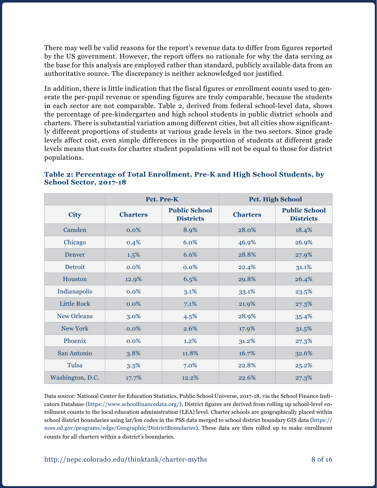There may well be valid reasons for the report's revenue data to differ from figures reported by the US government. However, the report offers no rationale for why the data serving as the base for this analysis are employed rather than standard, publicly available data from an authoritative source. The discrepancy is neither acknowledged nor justified.

In addition, there is little indication that the fiscal figures or enrollment counts used to generate the per-pupil revenue or spending figures are truly comparable, because the students in each sector are not comparable. Table 2, derived from federal school-level data, shows the percentage of pre-kindergarten and high school students in public district schools and charters. There is substantial variation among different cities, but all cities show significantly different proportions of students at various grade levels in the two sectors. Since grade levels affect cost, even simple differences in the proportion of students at different grade levels means that costs for charter student populations will not be equal to those for district populations.

|                    | Pct. Pre-K      |                                          | <b>Pct. High School</b> |                                          |  |
|--------------------|-----------------|------------------------------------------|-------------------------|------------------------------------------|--|
| <b>City</b>        | <b>Charters</b> | <b>Public School</b><br><b>Districts</b> | <b>Charters</b>         | <b>Public School</b><br><b>Districts</b> |  |
| Camden             | $0.0\%$         | 8.9%                                     | 28.0%                   | 18.4%                                    |  |
| Chicago            | 0.4%            | 6.0%                                     | 46.9%                   | 26.9%                                    |  |
| Denver             | 1.5%            | 6.6%                                     | 28.8%                   | 27.9%                                    |  |
| Detroit            | $0.0\%$         | $0.0\%$                                  | 22.4%                   | 31.1%                                    |  |
| Houston            | 12.9%           | 6.5%                                     | 29.8%                   | 26.4%                                    |  |
| Indianapolis       | $0.0\%$         | 3.1%                                     | 33.1%                   | 23.5%                                    |  |
| <b>Little Rock</b> | $0.0\%$         | 7.1%                                     | 21.9%                   | 27.3%                                    |  |
| <b>New Orleans</b> | 3.0%            | 4.5%                                     | 28.9%                   | 35.4%                                    |  |
| New York           | $0.0\%$         | 2.6%                                     | 17.9%                   | 31.5%                                    |  |
| Phoenix            | $0.0\%$         | $1.2\%$                                  | 31.2%                   | 27.3%                                    |  |
| San Antonio        | 3.8%            | 11.8%                                    | 16.7%                   | 32.6%                                    |  |
| Tulsa              | 3.3%            | 7.0%                                     | 22.8%                   | 25.2%                                    |  |
| Washington, D.C.   | 17.7%           | 12.2%                                    | 22.6%                   | 27.3%                                    |  |

### **Table 2: Percentage of Total Enrollment, Pre-K and High School Students, by School Sector, 2017-18**

Data source: National Center for Education Statistics, Public School Universe, 2017-18, via the School Finance Indicators Database (<https://www.schoolfinancedata.org/>). District figures are derived from rolling up school-level enrollment counts to the local education administration (LEA) level. Charter schools are geographically placed within school district boundaries using lat/lon codes in the PSS data merged to school district boundary GIS data ([https://](https://nces.ed.gov/programs/edge/Geographic/DistrictBoundaries) [nces.ed.gov/programs/edge/Geographic/DistrictBoundaries](https://nces.ed.gov/programs/edge/Geographic/DistrictBoundaries)). These data are then rolled up to make enrollment counts for all charters within a district's boundaries.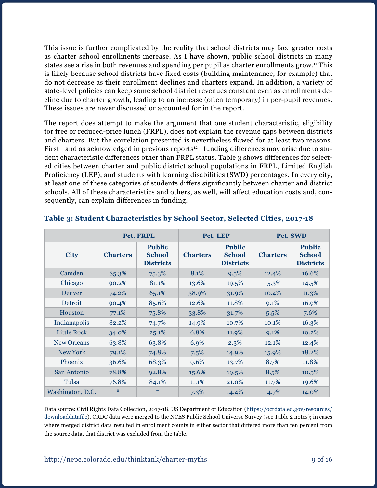This issue is further complicated by the reality that school districts may face greater costs as charter school enrollments increase. As I have shown, public school districts in many states see a rise in both revenues and spending per pupil as charter enrollments grow.11 This is likely because school districts have fixed costs (building maintenance, for example) that do not decrease as their enrollment declines and charters expand. In addition, a variety of state-level policies can keep some school district revenues constant even as enrollments decline due to charter growth, leading to an increase (often temporary) in per-pupil revenues. These issues are never discussed or accounted for in the report.

The report does attempt to make the argument that one student characteristic, eligibility for free or reduced-price lunch (FRPL), does not explain the revenue gaps between districts and charters. But the correlation presented is nevertheless flawed for at least two reasons. First—and as acknowledged in previous reports<sup>12</sup>—funding differences may arise due to student characteristic differences other than FRPL status. Table 3 shows differences for selected cities between charter and public district school populations in FRPL, Limited English Proficiency (LEP), and students with learning disabilities (SWD) percentages. In every city, at least one of these categories of students differs significantly between charter and district schools. All of these characteristics and others, as well, will affect education costs and, consequently, can explain differences in funding.

|                    |                 | <b>Pct. FRPL</b>                                   | Pct. LEP        |                                                    | Pct. SWD        |                                                    |
|--------------------|-----------------|----------------------------------------------------|-----------------|----------------------------------------------------|-----------------|----------------------------------------------------|
| <b>City</b>        | <b>Charters</b> | <b>Public</b><br><b>School</b><br><b>Districts</b> | <b>Charters</b> | <b>Public</b><br><b>School</b><br><b>Districts</b> | <b>Charters</b> | <b>Public</b><br><b>School</b><br><b>Districts</b> |
| Camden             | 85.3%           | 75.3%                                              | 8.1%            | $9.5\%$                                            | 12.4%           | 16.6%                                              |
| Chicago            | 90.2%           | 81.1%                                              | 13.6%           | 19.5%                                              | 15.3%           | 14.5%                                              |
| Denver             | 74.2%           | 65.1%                                              | 38.9%           | 31.9%                                              | 10.4%           | 11.3%                                              |
| Detroit            | 90.4%           | 85.6%                                              | 12.6%           | 11.8%                                              | 9.1%            | 16.9%                                              |
| Houston            | 77.1%           | 75.8%                                              | 33.8%           | 31.7%                                              | 5.5%            | 7.6%                                               |
| Indianapolis       | 82.2%           | 74.7%                                              | 14.9%           | 10.7%                                              | 10.1%           | 16.3%                                              |
| <b>Little Rock</b> | 34.0%           | 25.1%                                              | 6.8%            | 11.9%                                              | 9.1%            | 10.2%                                              |
| <b>New Orleans</b> | 63.8%           | 63.8%                                              | 6.9%            | 2.3%                                               | 12.1%           | 12.4%                                              |
| New York           | 79.1%           | 74.8%                                              | 7.5%            | 14.9%                                              | 15.9%           | 18.2%                                              |
| Phoenix            | 36.6%           | 68.3%                                              | 9.6%            | 13.7%                                              | 8.7%            | 11.8%                                              |
| San Antonio        | 78.8%           | 92.8%                                              | 15.6%           | 19.5%                                              | 8.5%            | 10.5%                                              |
| Tulsa              | 76.8%           | 84.1%                                              | 11.1%           | 21.0%                                              | 11.7%           | 19.6%                                              |
| Washington, D.C.   | $\ast$          | $\ast$                                             | 7.3%            | 14.4%                                              | 14.7%           | 14.0%                                              |

#### **Table 3: Student Characteristics by School Sector, Selected Cities, 2017-18**

Data source: Civil Rights Data Collection, 2017-18, US Department of Education [\(https://ocrdata.ed.gov/resources/](https://ocrdata.ed.gov/resources/downloaddatafile) [downloaddatafile](https://ocrdata.ed.gov/resources/downloaddatafile)). CRDC data were merged to the NCES Public School Universe Survey (see Table 2 notes); in cases where merged district data resulted in enrollment counts in either sector that differed more than ten percent from the source data, that district was excluded from the table.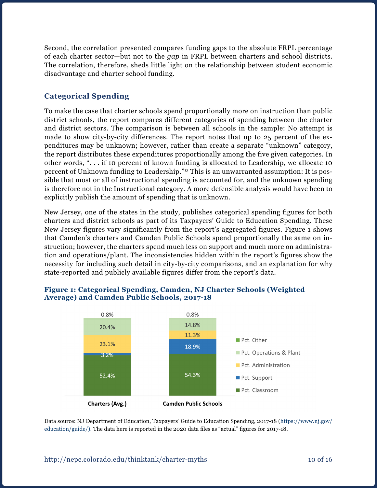Second, the correlation presented compares funding gaps to the absolute FRPL percentage of each charter sector—but not to the *gap* in FRPL between charters and school districts. The correlation, therefore, sheds little light on the relationship between student economic disadvantage and charter school funding.

### **Categorical Spending**

To make the case that charter schools spend proportionally more on instruction than public district schools, the report compares different categories of spending between the charter and district sectors. The comparison is between all schools in the sample: No attempt is made to show city-by-city differences. The report notes that up to 25 percent of the expenditures may be unknown; however, rather than create a separate "unknown" category, the report distributes these expenditures proportionally among the five given categories. In other words, ". . . if 10 percent of known funding is allocated to Leadership, we allocate 10 percent of Unknown funding to Leadership."13 This is an unwarranted assumption: It is possible that most or all of instructional spending is accounted for, and the unknown spending is therefore not in the Instructional category. A more defensible analysis would have been to explicitly publish the amount of spending that is unknown.

New Jersey, one of the states in the study, publishes categorical spending figures for both charters and district schools as part of its Taxpayers' Guide to Education Spending. These New Jersey figures vary significantly from the report's aggregated figures. Figure 1 shows that Camden's charters and Camden Public Schools spend proportionally the same on instruction; however, the charters spend much less on support and much more on administration and operations/plant. The inconsistencies hidden within the report's figures show the necessity for including such detail in city-by-city comparisons, and an explanation for why state-reported and publicly available figures differ from the report's data.



### **Figure 1: Categorical Spending, Camden, NJ Charter Schools (Weighted Average) and Camden Public Schools, 2017-18**

Data source: NJ Department of Education, Taxpayers' Guide to Education Spending, 2017-18 ([https://www.nj.gov/](https://www.nj.gov/education/guide/) [education/guide/](https://www.nj.gov/education/guide/)). The data here is reported in the 2020 data files as "actual" figures for 2017-18.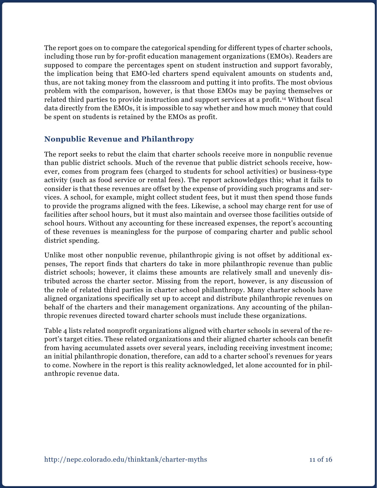The report goes on to compare the categorical spending for different types of charter schools, including those run by for-profit education management organizations (EMOs). Readers are supposed to compare the percentages spent on student instruction and support favorably, the implication being that EMO-led charters spend equivalent amounts on students and, thus, are not taking money from the classroom and putting it into profits. The most obvious problem with the comparison, however, is that those EMOs may be paying themselves or related third parties to provide instruction and support services at a profit.14 Without fiscal data directly from the EMOs, it is impossible to say whether and how much money that could be spent on students is retained by the EMOs as profit.

### **Nonpublic Revenue and Philanthropy**

The report seeks to rebut the claim that charter schools receive more in nonpublic revenue than public district schools. Much of the revenue that public district schools receive, however, comes from program fees (charged to students for school activities) or business-type activity (such as food service or rental fees). The report acknowledges this; what it fails to consider is that these revenues are offset by the expense of providing such programs and services. A school, for example, might collect student fees, but it must then spend those funds to provide the programs aligned with the fees. Likewise, a school may charge rent for use of facilities after school hours, but it must also maintain and oversee those facilities outside of school hours. Without any accounting for these increased expenses, the report's accounting of these revenues is meaningless for the purpose of comparing charter and public school district spending.

Unlike most other nonpublic revenue, philanthropic giving is not offset by additional expenses, The report finds that charters do take in more philanthropic revenue than public district schools; however, it claims these amounts are relatively small and unevenly distributed across the charter sector. Missing from the report, however, is any discussion of the role of related third parties in charter school philanthropy. Many charter schools have aligned organizations specifically set up to accept and distribute philanthropic revenues on behalf of the charters and their management organizations. Any accounting of the philanthropic revenues directed toward charter schools must include these organizations.

Table 4 lists related nonprofit organizations aligned with charter schools in several of the report's target cities. These related organizations and their aligned charter schools can benefit from having accumulated assets over several years, including receiving investment income; an initial philanthropic donation, therefore, can add to a charter school's revenues for years to come. Nowhere in the report is this reality acknowledged, let alone accounted for in philanthropic revenue data.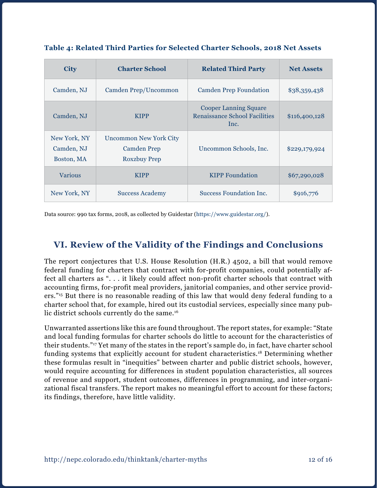| <b>City</b>                              | <b>Charter School</b>                                                      | <b>Related Third Party</b>                                            | <b>Net Assets</b> |
|------------------------------------------|----------------------------------------------------------------------------|-----------------------------------------------------------------------|-------------------|
| Camden, NJ                               | Camden Prep/Uncommon                                                       | <b>Camden Prep Foundation</b>                                         | \$38,359,438      |
| Camden, NJ                               | <b>KIPP</b>                                                                | Cooper Lanning Square<br><b>Renaissance School Facilities</b><br>Inc. | \$116,400,128     |
| New York, NY<br>Camden, NJ<br>Boston, MA | <b>Uncommon New York City</b><br><b>Camden Prep</b><br><b>Roxzbuy Prep</b> | Uncommon Schools, Inc.                                                | \$229,179,924     |
| <b>Various</b>                           | <b>KIPP</b>                                                                | <b>KIPP Foundation</b>                                                | \$67,290,028      |
| New York, NY                             | <b>Success Academy</b>                                                     | Success Foundation Inc.                                               | \$916,776         |

#### **Table 4: Related Third Parties for Selected Charter Schools, 2018 Net Assets**

Data source: 990 tax forms, 2018, as collected by Guidestar (<https://www.guidestar.org/>).

## **VI. Review of the Validity of the Findings and Conclusions**

The report conjectures that U.S. House Resolution (H.R.) 4502, a bill that would remove federal funding for charters that contract with for-profit companies, could potentially affect all charters as ". . . it likely could affect non-profit charter schools that contract with accounting firms, for-profit meal providers, janitorial companies, and other service providers."15 But there is no reasonable reading of this law that would deny federal funding to a charter school that, for example, hired out its custodial services, especially since many public district schools currently do the same.<sup>16</sup>

Unwarranted assertions like this are found throughout. The report states, for example: "State and local funding formulas for charter schools do little to account for the characteristics of their students."17 Yet many of the states in the report's sample do, in fact, have charter school funding systems that explicitly account for student characteristics.18 Determining whether these formulas result in "inequities" between charter and public district schools, however, would require accounting for differences in student population characteristics, all sources of revenue and support, student outcomes, differences in programming, and inter-organizational fiscal transfers. The report makes no meaningful effort to account for these factors; its findings, therefore, have little validity.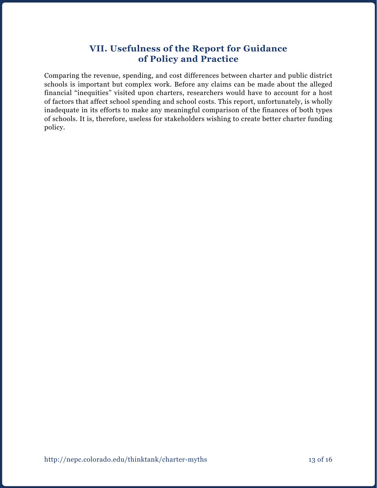## **VII. Usefulness of the Report for Guidance of Policy and Practice**

Comparing the revenue, spending, and cost differences between charter and public district schools is important but complex work. Before any claims can be made about the alleged financial "inequities" visited upon charters, researchers would have to account for a host of factors that affect school spending and school costs. This report, unfortunately, is wholly inadequate in its efforts to make any meaningful comparison of the finances of both types of schools. It is, therefore, useless for stakeholders wishing to create better charter funding policy.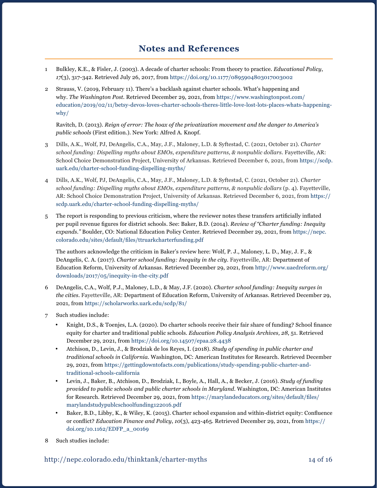### **Notes and References**

- 1 Bulkley, K.E., & Fisler, J. (2003). A decade of charter schools: From theory to practice. *Educational Policy*, *17*(3), 317-342. Retrieved July 26, 2017, from <https://doi.org/10.1177/0895904803017003002>
- 2 Strauss, V. (2019, February 11). There's a backlash against charter schools. What's happening and why. *The Washington Post.* Retrieved December 29, 2021, from [https://www.washingtonpost.com/](https://www.washingtonpost.com/education/2019/02/11/betsy-devos-loves-charter-schools-theres-little-love-lost-lots-places-whats-happening-why/) [education/2019/02/11/betsy-devos-loves-charter-schools-theres-little-love-lost-lots-places-whats-happening](https://www.washingtonpost.com/education/2019/02/11/betsy-devos-loves-charter-schools-theres-little-love-lost-lots-places-whats-happening-why/)[why/](https://www.washingtonpost.com/education/2019/02/11/betsy-devos-loves-charter-schools-theres-little-love-lost-lots-places-whats-happening-why/)

Ravitch, D. (2013). *Reign of error: The hoax of the privatization movement and the danger to America's public schools* (First edition.). New York: Alfred A. Knopf.

- 3 Dills, A.K., Wolf, PJ, DeAngelis, C.A., May, J.F., Maloney, L.D. & Syftestad, C. (2021, October 21). *Charter school funding: Dispelling myths about EMOs, expenditure patterns, & nonpublic dollars.* Fayetteville, AR: School Choice Demonstration Project, University of Arkansas. Retrieved December 6, 2021, from [https://scdp.](https://scdp.uark.edu/charter-school-funding-dispelling-myths/) [uark.edu/charter-school-funding-dispelling-myths/](https://scdp.uark.edu/charter-school-funding-dispelling-myths/)
- 4 Dills, A.K., Wolf, PJ, DeAngelis, C.A., May, J.F., Maloney, L.D. & Syftestad, C. (2021, October 21). *Charter school funding: Dispelling myths about EMOs, expenditure patterns, & nonpublic dollars* (p. 4)*.* Fayetteville, AR: School Choice Demonstration Project, University of Arkansas. Retrieved December 6, 2021, from [https://](https://scdp.uark.edu/charter-school-funding-dispelling-myths/) [scdp.uark.edu/charter-school-funding-dispelling-myths/](https://scdp.uark.edu/charter-school-funding-dispelling-myths/)
- 5 The report is responding to previous criticism, where the reviewer notes these transfers artificially inflated per pupil revenue figures for district schools. See: Baker, B.D. (2014). *Review of "Charter funding: Inequity expands."* Boulder, CO: National Education Policy Center. Retrieved December 29, 2021, from [https://nepc.](https://nepc.colorado.edu/sites/default/files/ttruarkcharterfunding.pdf) [colorado.edu/sites/default/files/ttruarkcharterfunding.pdf](https://nepc.colorado.edu/sites/default/files/ttruarkcharterfunding.pdf)

The authors acknowledge the criticism in Baker's review here: Wolf, P. J., Maloney, L. D., May, J. F., & DeAngelis, C. A. (2017). *Charter school funding: Inequity in the city.* Fayetteville, AR: Department of Education Reform, University of Arkansas. Retrieved December 29, 2021, from [http://www.uaedreform.org/](http://www.uaedreform.org/downloads/2017/05/inequity-in-the-city.pdf) [downloads/2017/05/inequity-in-the-city.pdf](http://www.uaedreform.org/downloads/2017/05/inequity-in-the-city.pdf)

- 6 DeAngelis, C.A., Wolf, P.J., Maloney, L.D., & May, J.F. (2020). *Charter school funding: Inequity surges in the cities*. Fayetteville, AR: Department of Education Reform, University of Arkansas. Retrieved December 29, 2021, from <https://scholarworks.uark.edu/scdp/81/>
- 7 Such studies include:
	- Knight, D.S., & Toenjes, L.A. (2020). Do charter schools receive their fair share of funding? School finance equity for charter and traditional public schools*. Education Policy Analysis Archives, 28*, 51. Retrieved December 29, 2021, from<https://doi.org/10.14507/epaa.28.4438>
	- Atchison, D., Levin, J., & Brodziak de los Reyes, I. (2018). *Study of spending in public charter and traditional schools in California*. Washington, DC: American Institutes for Research. Retrieved December 29, 2021, from [https://gettingdowntofacts.com/publications/study-spending-public-charter-and](https://gettingdowntofacts.com/publications/study-spending-public-charter-and-traditional-schools-california)[traditional-schools-california](https://gettingdowntofacts.com/publications/study-spending-public-charter-and-traditional-schools-california)
	- • Levin, J., Baker, B., Atchison, D., Brodziak, I., Boyle, A., Hall, A., & Becker, J. (2016). *Study of funding provided to public schools and public charter schools in Maryland*. Washington, DC: American Institutes for Research. Retrieved December 29, 2021, from [https://marylandeducators.org/sites/default/files/](https://marylandeducators.org/sites/default/files/marylandstudypublcschoolfunding122016.pdf) [marylandstudypublcschoolfunding122016.pdf](https://marylandeducators.org/sites/default/files/marylandstudypublcschoolfunding122016.pdf)
	- Baker, B.D., Libby, K., & Wiley, K. (2015). Charter school expansion and within-district equity: Confluence or conflict? *Education Finance and Policy*, *10*(3), 423-465. Retrieved December 29, 2021, from [https://](https://doi.org/10.1162/EDFP_a_00169) [doi.org/10.1162/EDFP\\_a\\_00169](https://doi.org/10.1162/EDFP_a_00169)
- 8 Such studies include:

#### http://nepc.colorado.edu/thinktank/charter-myths 14 of 16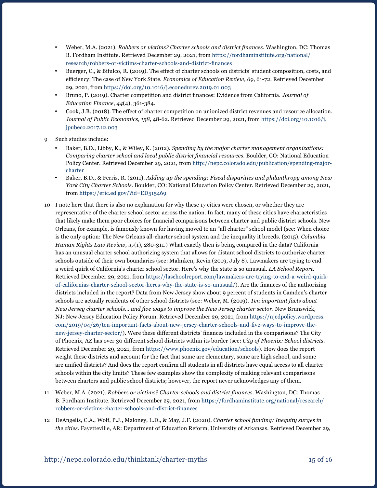- • Weber, M.A. (2021). *Robbers or victims? Charter schools and district finances*. Washington, DC: Thomas B. Fordham Institute. Retrieved December 29, 2021, from [https://fordhaminstitute.org/national/](https://fordhaminstitute.org/national/research/robbers-or-victims-charter-schools-and-district-finances) [research/robbers-or-victims-charter-schools-and-district-finances](https://fordhaminstitute.org/national/research/robbers-or-victims-charter-schools-and-district-finances)
- Buerger, C., & Bifulco, R. (2019). The effect of charter schools on districts' student composition, costs, and efficiency: The case of New York State. *Economics of Education Review, 69*, 61-72. Retrieved December 29, 2021, from <https://doi.org/10.1016/j.econedurev.2019.01.003>
- • Bruno, P. (2019). Charter competition and district finances: Evidence from California. *Journal of Education Finance*, *44*(4), 361-384.
- • Cook, J.B. (2018). The effect of charter competition on unionized district revenues and resource allocation*. Journal of Public Economics, 158*, 48-62. Retrieved December 29, 2021, from [https://doi.org/10.1016/j.](https://doi.org/10.1016/j.jpubeco.2017.12.003) [jpubeco.2017.12.003](https://doi.org/10.1016/j.jpubeco.2017.12.003)
- 9 Such studies include:
	- Baker, B.D., Libby, K., & Wiley, K. (2012). *Spending by the major charter management organizations: Comparing charter school and local public district financial resources.* Boulder, CO: National Education Policy Center. Retrieved December 29, 2021, from [http://nepc.colorado.edu/publication/spending-major](http://nepc.colorado.edu/publication/spending-major-charter)[charter](http://nepc.colorado.edu/publication/spending-major-charter)
	- Baker, B.D., & Ferris, R. (2011). *Adding up the spending: Fiscal disparities and philanthropy among New York City Charter Schools.* Boulder, CO: National Education Policy Center. Retrieved December 29, 2021, from <https://eric.ed.gov/?id=ED515469>
- 10 I note here that there is also no explanation for why these 17 cities were chosen, or whether they are representative of the charter school sector across the nation. In fact, many of these cities have characteristics that likely make them poor choices for financial comparisons between charter and public district schools. New Orleans, for example, is famously known for having moved to an "all charter" school model (see: When choice is the only option: The New Orleans all-charter school system and the inequality it breeds. (2015). *Columbia Human Rights Law Review*, *47*(1), 280-311.) What exactly then is being compared in the data? California has an unusual charter school authorizing system that allows for distant school districts to authorize charter schools outside of their own boundaries (see: Mahnken, Kevin (2019, July 8). Lawmakers are trying to end a weird quirk of California's charter school sector. Here's why the state is so unusual. *LA School Report*. Retrieved December 29, 2021, from [https://laschoolreport.com/lawmakers-are-trying-to-end-a-weird-quirk](https://laschoolreport.com/lawmakers-are-trying-to-end-a-weird-quirk-of-californias-charter-school-sector-heres-why-the-state-is-so-unusual/)[of-californias-charter-school-sector-heres-why-the-state-is-so-unusual/](https://laschoolreport.com/lawmakers-are-trying-to-end-a-weird-quirk-of-californias-charter-school-sector-heres-why-the-state-is-so-unusual/)). Are the finances of the authorizing districts included in the report? Data from New Jersey show about 9 percent of students in Camden's charter schools are actually residents of other school districts (see: Weber, M. (2019). *Ten important facts about New Jersey charter schools… and five ways to improve the New Jersey charter sector*. New Brunswick, NJ: New Jersey Education Policy Forum. Retrieved December 29, 2021, from [https://njedpolicy.wordpress.](https://njedpolicy.wordpress.com/2019/04/26/ten-important-facts-about-new-jersey-charter-schools-and-five-ways-to-improve-the-new-jersey-charter-sector/) [com/2019/04/26/ten-important-facts-about-new-jersey-charter-schools-and-five-ways-to-improve-the](https://njedpolicy.wordpress.com/2019/04/26/ten-important-facts-about-new-jersey-charter-schools-and-five-ways-to-improve-the-new-jersey-charter-sector/)[new-jersey-charter-sector/](https://njedpolicy.wordpress.com/2019/04/26/ten-important-facts-about-new-jersey-charter-schools-and-five-ways-to-improve-the-new-jersey-charter-sector/)). Were these different districts' finances included in the comparisons? The City of Phoenix, AZ has over 30 different school districts within its border (see: *City of Phoenix: School districts*. Retrieved December 29, 2021, from [https://www.phoenix.gov/education/schools\)](https://www.phoenix.gov/education/schools). How does the report weight these districts and account for the fact that some are elementary, some are high school, and some are unified districts? And does the report confirm all students in all districts have equal access to all charter schools within the city limits? These few examples show the complexity of making relevant comparisons between charters and public school districts; however, the report never acknowledges any of them.
- 11 Weber, M.A. (2021). *Robbers or victims? Charter schools and district finances.* Washington, DC: Thomas B. Fordham Institute. Retrieved December 29, 2021, from [https://fordhaminstitute.org/national/research/](https://fordhaminstitute.org/national/research/robbers-or-victims-charter-schools-and-district-finances) [robbers-or-victims-charter-schools-and-district-finances](https://fordhaminstitute.org/national/research/robbers-or-victims-charter-schools-and-district-finances)
- 12 DeAngelis, C.A., Wolf, P.J., Maloney, L.D., & May, J.F. (2020). *Charter school funding: Inequity surges in the cities*. Fayetteville, AR: Department of Education Reform, University of Arkansas. Retrieved December 29,